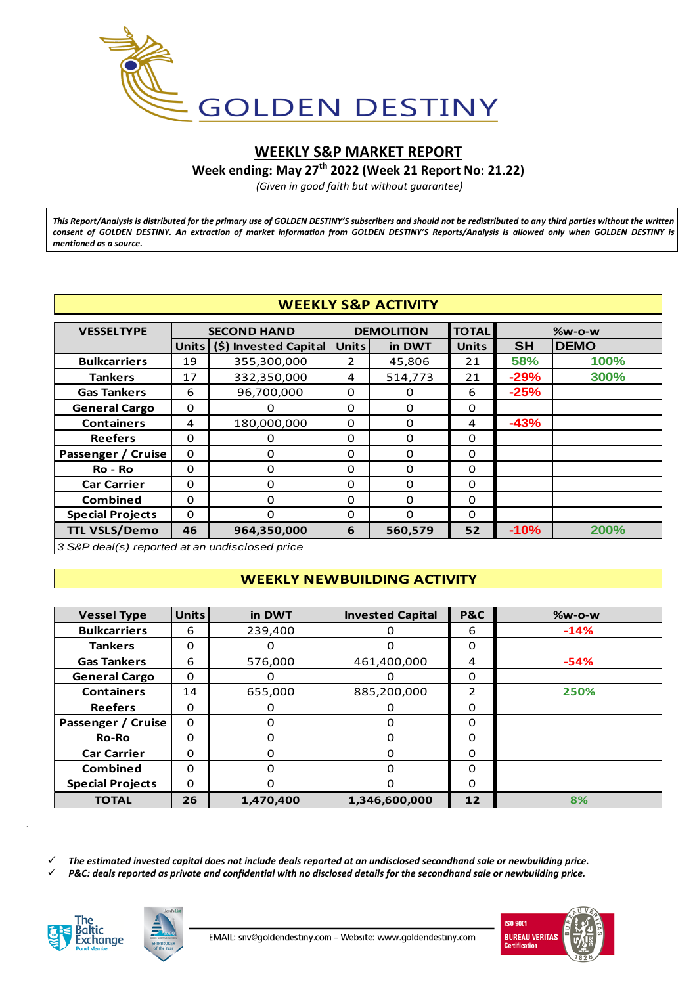

# **WEEKLY S&P MARKET REPORT**

**Week ending: May 27 th 2022 (Week 21 Report No: 21.22)**

*(Given in good faith but without guarantee)*

*This Report/Analysis is distributed for the primary use of GOLDEN DESTINY'S subscribers and should not be redistributed to any third parties without the written consent of GOLDEN DESTINY. An extraction of market information from GOLDEN DESTINY'S Reports/Analysis is allowed only when GOLDEN DESTINY is mentioned as a source.*

## **WEEKLY S&P ACTIVITY**

| <b>WEEKLY S&amp;P ACTIVITY</b>                 |                  |                             |              |                   |              |           |               |  |  |  |
|------------------------------------------------|------------------|-----------------------------|--------------|-------------------|--------------|-----------|---------------|--|--|--|
| <b>VESSELTYPE</b>                              |                  | <b>SECOND HAND</b>          |              | <b>DEMOLITION</b> | <b>TOTAL</b> |           | <b>%w-o-w</b> |  |  |  |
|                                                |                  | Units (\$) Invested Capital | <b>Units</b> | in DWT            |              | <b>SH</b> | <b>DEMO</b>   |  |  |  |
| <b>Bulkcarriers</b>                            | 19               | 355,300,000                 | 2            | 45,806            | 21           | 58%       | 100%          |  |  |  |
| <b>Tankers</b>                                 | 17               | 332,350,000                 | 4            | 514,773           | 21           | $-29%$    | 300%          |  |  |  |
| <b>Gas Tankers</b>                             | 6                | 96,700,000                  | $\Omega$     | 0                 | 6            | $-25%$    |               |  |  |  |
| <b>General Cargo</b>                           | $\Omega$         | $\Omega$                    | $\Omega$     | $\Omega$          | $\Omega$     |           |               |  |  |  |
| <b>Containers</b>                              | 180,000,000<br>4 |                             | 0            | 0                 | 4            | $-43%$    |               |  |  |  |
| <b>Reefers</b>                                 | $\Omega$         | 0                           | $\Omega$     | $\Omega$          | $\Omega$     |           |               |  |  |  |
| Passenger / Cruise                             | 0                | $\Omega$                    | 0            | 0                 | $\Omega$     |           |               |  |  |  |
| Ro - Ro                                        | $\Omega$         | $\Omega$                    | $\Omega$     | 0                 | $\Omega$     |           |               |  |  |  |
| <b>Car Carrier</b>                             | $\Omega$         | 0                           | 0            | 0                 | 0            |           |               |  |  |  |
| <b>Combined</b>                                | $\Omega$         | 0                           | $\Omega$     | 0                 | 0            |           |               |  |  |  |
| <b>Special Projects</b>                        | 0                | 0                           | $\Omega$     | 0                 | $\Omega$     |           |               |  |  |  |
| <b>TTL VSLS/Demo</b>                           | 46               | 964,350,000                 | 6            | 560,579           | 52           | $-10%$    | 200%          |  |  |  |
| 3 S&P deal(s) reported at an undisclosed price |                  |                             |              |                   |              |           |               |  |  |  |

# **WEEKLY NEWBUILDING ACTIVITY**

| <b>Vessel Type</b>      | <b>Units</b> | in DWT    | <b>Invested Capital</b> | <b>P&amp;C</b> | <b>%w-o-w</b> |
|-------------------------|--------------|-----------|-------------------------|----------------|---------------|
| <b>Bulkcarriers</b>     | 6            | 239,400   |                         | 6              | $-14%$        |
| <b>Tankers</b>          | $\Omega$     | 0         | $\Omega$                | 0              |               |
| <b>Gas Tankers</b>      | 6            | 576,000   | 461,400,000             | 4              | $-54%$        |
| <b>General Cargo</b>    | $\Omega$     | $\Omega$  | 0                       | $\Omega$       |               |
| <b>Containers</b>       | 14           |           | 885,200,000             | 2              | 250%          |
| <b>Reefers</b>          | $\Omega$     | 0         | O                       | $\Omega$       |               |
| Passenger / Cruise      | 0            | 0         | $\Omega$                | $\Omega$       |               |
| <b>Ro-Ro</b>            | $\Omega$     | 0         | $\Omega$                | 0              |               |
| <b>Car Carrier</b>      | $\Omega$     | $\Omega$  | $\Omega$                | $\Omega$       |               |
| <b>Combined</b>         | $\Omega$     | $\Omega$  | $\Omega$                | $\Omega$       |               |
| <b>Special Projects</b> | $\Omega$     | 0         | $\Omega$                | 0              |               |
| <b>TOTAL</b>            | 26           | 1,470,400 | 1,346,600,000           | 12             | 8%            |
|                         |              |           |                         |                |               |

*The estimated invested capital does not include deals reported at an undisclosed secondhand sale or newbuilding price.*

*P&C: deals reported as private and confidential with no disclosed details for the secondhand sale or newbuilding price.*



*.*



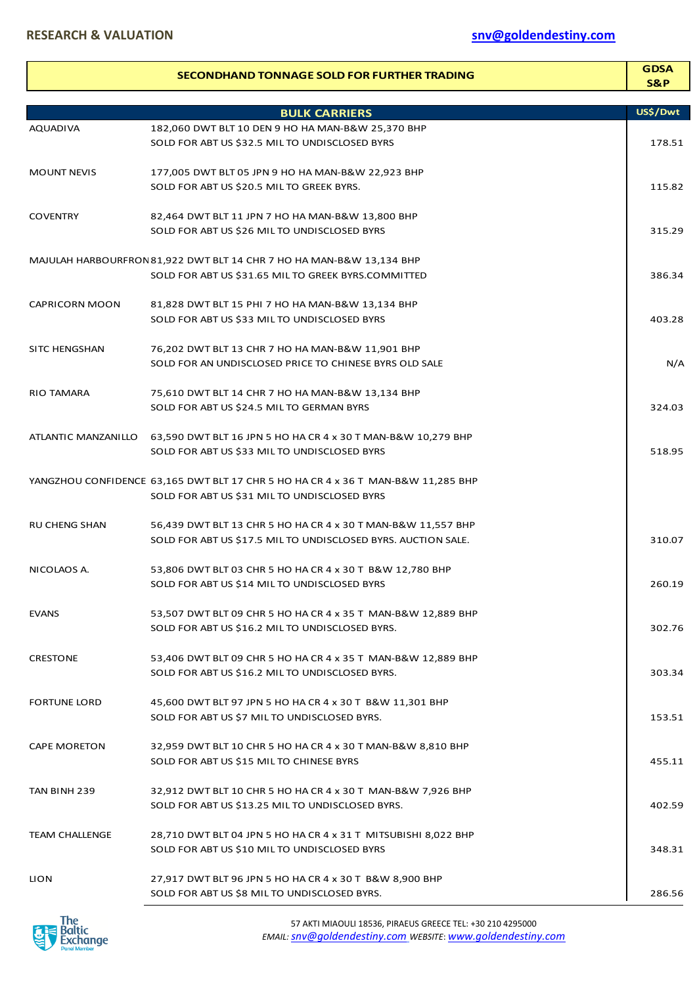|                       | SECONDHAND TONNAGE SOLD FOR FURTHER TRADING                                      | <b>GDSA</b><br>S&P |
|-----------------------|----------------------------------------------------------------------------------|--------------------|
|                       | <b>BULK CARRIERS</b>                                                             | US\$/Dwt           |
| <b>AQUADIVA</b>       | 182,060 DWT BLT 10 DEN 9 HO HA MAN-B&W 25,370 BHP                                |                    |
|                       | SOLD FOR ABT US \$32.5 MIL TO UNDISCLOSED BYRS                                   | 178.51             |
| <b>MOUNT NEVIS</b>    | 177,005 DWT BLT 05 JPN 9 HO HA MAN-B&W 22,923 BHP                                |                    |
|                       | SOLD FOR ABT US \$20.5 MIL TO GREEK BYRS.                                        | 115.82             |
| <b>COVENTRY</b>       | 82,464 DWT BLT 11 JPN 7 HO HA MAN-B&W 13,800 BHP                                 |                    |
|                       | SOLD FOR ABT US \$26 MIL TO UNDISCLOSED BYRS                                     | 315.29             |
|                       | MAJULAH HARBOURFRON 81,922 DWT BLT 14 CHR 7 HO HA MAN-B&W 13,134 BHP             |                    |
|                       | SOLD FOR ABT US \$31.65 MIL TO GREEK BYRS.COMMITTED                              | 386.34             |
| <b>CAPRICORN MOON</b> | 81,828 DWT BLT 15 PHI 7 HO HA MAN-B&W 13,134 BHP                                 |                    |
|                       | SOLD FOR ABT US \$33 MIL TO UNDISCLOSED BYRS                                     | 403.28             |
| <b>SITC HENGSHAN</b>  | 76,202 DWT BLT 13 CHR 7 HO HA MAN-B&W 11,901 BHP                                 |                    |
|                       | SOLD FOR AN UNDISCLOSED PRICE TO CHINESE BYRS OLD SALE                           | N/A                |
| <b>RIO TAMARA</b>     | 75,610 DWT BLT 14 CHR 7 HO HA MAN-B&W 13,134 BHP                                 |                    |
|                       | SOLD FOR ABT US \$24.5 MIL TO GERMAN BYRS                                        | 324.03             |
|                       | ATLANTIC MANZANILLO 63,590 DWT BLT 16 JPN 5 HO HA CR 4 x 30 T MAN-B&W 10,279 BHP |                    |
|                       | SOLD FOR ABT US \$33 MIL TO UNDISCLOSED BYRS                                     | 518.95             |
|                       | YANGZHOU CONFIDENCE 63,165 DWT BLT 17 CHR 5 HO HA CR 4 x 36 T MAN-B&W 11,285 BHP |                    |
|                       | SOLD FOR ABT US \$31 MIL TO UNDISCLOSED BYRS                                     |                    |
| <b>RU CHENG SHAN</b>  | 56,439 DWT BLT 13 CHR 5 HO HA CR 4 x 30 T MAN-B&W 11,557 BHP                     |                    |
|                       | SOLD FOR ABT US \$17.5 MIL TO UNDISCLOSED BYRS. AUCTION SALE.                    | 310.07             |
| NICOLAOS A.           | 53,806 DWT BLT 03 CHR 5 HO HA CR 4 x 30 T B&W 12,780 BHP                         |                    |
|                       | SOLD FOR ABT US \$14 MIL TO UNDISCLOSED BYRS                                     | 260.19             |
| <b>EVANS</b>          | 53,507 DWT BLT 09 CHR 5 HO HA CR 4 x 35 T MAN-B&W 12,889 BHP                     |                    |
|                       | SOLD FOR ABT US \$16.2 MIL TO UNDISCLOSED BYRS.                                  | 302.76             |
| <b>CRESTONE</b>       | 53,406 DWT BLT 09 CHR 5 HO HA CR 4 x 35 T MAN-B&W 12,889 BHP                     |                    |
|                       | SOLD FOR ABT US \$16.2 MIL TO UNDISCLOSED BYRS.                                  | 303.34             |
| <b>FORTUNE LORD</b>   | 45,600 DWT BLT 97 JPN 5 HO HA CR 4 x 30 T B&W 11,301 BHP                         |                    |
|                       | SOLD FOR ABT US \$7 MIL TO UNDISCLOSED BYRS.                                     | 153.51             |
| <b>CAPE MORETON</b>   | 32,959 DWT BLT 10 CHR 5 HO HA CR 4 x 30 T MAN-B&W 8,810 BHP                      |                    |
|                       | SOLD FOR ABT US \$15 MIL TO CHINESE BYRS                                         | 455.11             |
| TAN BINH 239          | 32,912 DWT BLT 10 CHR 5 HO HA CR 4 x 30 T MAN-B&W 7,926 BHP                      |                    |
|                       | SOLD FOR ABT US \$13.25 MIL TO UNDISCLOSED BYRS.                                 | 402.59             |
| <b>TEAM CHALLENGE</b> | 28,710 DWT BLT 04 JPN 5 HO HA CR 4 x 31 T MITSUBISHI 8,022 BHP                   |                    |
|                       | SOLD FOR ABT US \$10 MIL TO UNDISCLOSED BYRS                                     | 348.31             |
| <b>LION</b>           | 27,917 DWT BLT 96 JPN 5 HO HA CR 4 x 30 T B&W 8,900 BHP                          |                    |
|                       | SOLD FOR ABT US \$8 MIL TO UNDISCLOSED BYRS.                                     | 286.56             |

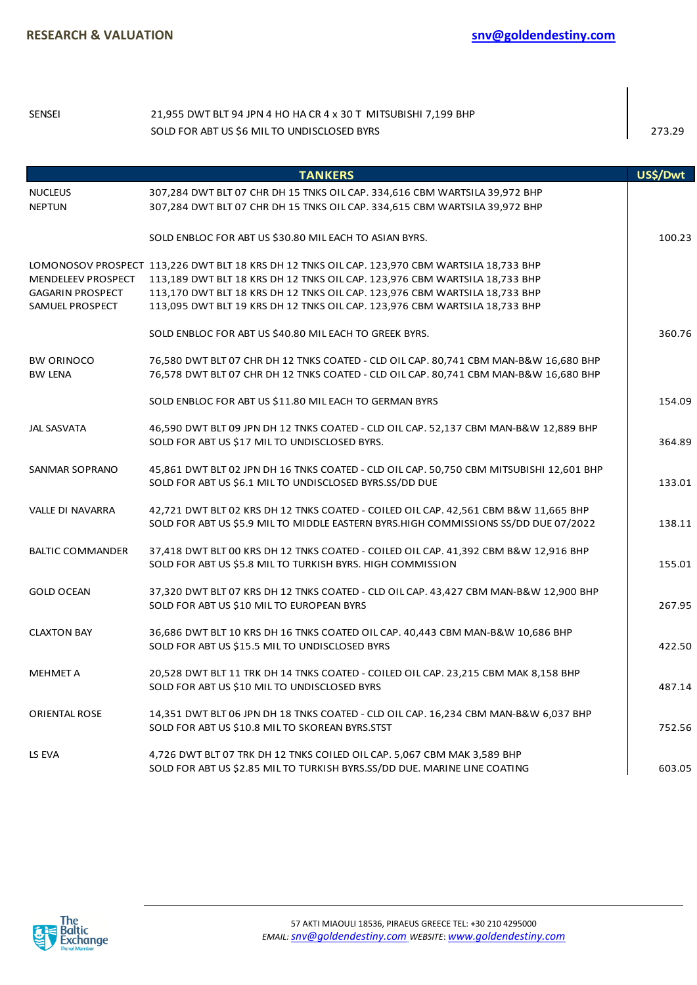l.

| <b>SENSEI</b>                                                    | 21,955 DWT BLT 94 JPN 4 HO HA CR 4 x 30 T MITSUBISHI 7,199 BHP<br>SOLD FOR ABT US \$6 MIL TO UNDISCLOSED BYRS                                                                                                                                                                                                                           | 273.29   |
|------------------------------------------------------------------|-----------------------------------------------------------------------------------------------------------------------------------------------------------------------------------------------------------------------------------------------------------------------------------------------------------------------------------------|----------|
|                                                                  | <b>TANKERS</b>                                                                                                                                                                                                                                                                                                                          | US\$/Dwt |
| <b>NUCLEUS</b><br><b>NEPTUN</b>                                  | 307,284 DWT BLT 07 CHR DH 15 TNKS OIL CAP. 334,616 CBM WARTSILA 39,972 BHP<br>307,284 DWT BLT 07 CHR DH 15 TNKS OIL CAP. 334,615 CBM WARTSILA 39,972 BHP                                                                                                                                                                                |          |
|                                                                  | SOLD ENBLOC FOR ABT US \$30.80 MIL EACH TO ASIAN BYRS.                                                                                                                                                                                                                                                                                  | 100.23   |
| MENDELEEV PROSPECT<br><b>GAGARIN PROSPECT</b><br>SAMUEL PROSPECT | LOMONOSOV PROSPECT 113,226 DWT BLT 18 KRS DH 12 TNKS OIL CAP. 123,970 CBM WARTSILA 18,733 BHP<br>113,189 DWT BLT 18 KRS DH 12 TNKS OIL CAP. 123,976 CBM WARTSILA 18,733 BHP<br>113,170 DWT BLT 18 KRS DH 12 TNKS OIL CAP. 123,976 CBM WARTSILA 18,733 BHP<br>113,095 DWT BLT 19 KRS DH 12 TNKS OIL CAP. 123,976 CBM WARTSILA 18,733 BHP |          |
|                                                                  | SOLD ENBLOC FOR ABT US \$40.80 MIL EACH TO GREEK BYRS.                                                                                                                                                                                                                                                                                  | 360.76   |
| <b>BW ORINOCO</b><br><b>BW LENA</b>                              | 76,580 DWT BLT 07 CHR DH 12 TNKS COATED - CLD OIL CAP. 80,741 CBM MAN-B&W 16,680 BHP<br>76,578 DWT BLT 07 CHR DH 12 TNKS COATED - CLD OIL CAP. 80,741 CBM MAN-B&W 16,680 BHP                                                                                                                                                            |          |
|                                                                  | SOLD ENBLOC FOR ABT US \$11.80 MIL EACH TO GERMAN BYRS                                                                                                                                                                                                                                                                                  | 154.09   |
| <b>JAL SASVATA</b>                                               | 46,590 DWT BLT 09 JPN DH 12 TNKS COATED - CLD OIL CAP. 52,137 CBM MAN-B&W 12,889 BHP<br>SOLD FOR ABT US \$17 MIL TO UNDISCLOSED BYRS.                                                                                                                                                                                                   | 364.89   |
| SANMAR SOPRANO                                                   | 45,861 DWT BLT 02 JPN DH 16 TNKS COATED - CLD OIL CAP. 50,750 CBM MITSUBISHI 12,601 BHP<br>SOLD FOR ABT US \$6.1 MIL TO UNDISCLOSED BYRS.SS/DD DUE                                                                                                                                                                                      | 133.01   |
| VALLE DI NAVARRA                                                 | 42,721 DWT BLT 02 KRS DH 12 TNKS COATED - COILED OIL CAP. 42,561 CBM B&W 11,665 BHP<br>SOLD FOR ABT US \$5.9 MIL TO MIDDLE EASTERN BYRS.HIGH COMMISSIONS SS/DD DUE 07/2022                                                                                                                                                              | 138.11   |
| <b>BALTIC COMMANDER</b>                                          | 37,418 DWT BLT 00 KRS DH 12 TNKS COATED - COILED OIL CAP. 41,392 CBM B&W 12,916 BHP<br>SOLD FOR ABT US \$5.8 MIL TO TURKISH BYRS. HIGH COMMISSION                                                                                                                                                                                       | 155.01   |
| <b>GOLD OCEAN</b>                                                | 37,320 DWT BLT 07 KRS DH 12 TNKS COATED - CLD OIL CAP. 43,427 CBM MAN-B&W 12,900 BHP<br>SOLD FOR ABT US \$10 MIL TO EUROPEAN BYRS                                                                                                                                                                                                       | 267.95   |
| <b>CLAXTON BAY</b>                                               | 36,686 DWT BLT 10 KRS DH 16 TNKS COATED OIL CAP. 40,443 CBM MAN-B&W 10,686 BHP<br>SOLD FOR ABT US \$15.5 MIL TO UNDISCLOSED BYRS                                                                                                                                                                                                        | 422.50   |
| <b>MEHMET A</b>                                                  | 20,528 DWT BLT 11 TRK DH 14 TNKS COATED - COILED OIL CAP. 23,215 CBM MAK 8,158 BHP<br>SOLD FOR ABT US \$10 MIL TO UNDISCLOSED BYRS                                                                                                                                                                                                      | 487.14   |
| <b>ORIENTAL ROSE</b>                                             | 14,351 DWT BLT 06 JPN DH 18 TNKS COATED - CLD OIL CAP. 16,234 CBM MAN-B&W 6,037 BHP<br>SOLD FOR ABT US \$10.8 MIL TO SKOREAN BYRS.STST                                                                                                                                                                                                  | 752.56   |
| LS EVA                                                           | 4,726 DWT BLT 07 TRK DH 12 TNKS COILED OIL CAP. 5,067 CBM MAK 3,589 BHP<br>SOLD FOR ABT US \$2.85 MIL TO TURKISH BYRS.SS/DD DUE. MARINE LINE COATING                                                                                                                                                                                    | 603.05   |
|                                                                  |                                                                                                                                                                                                                                                                                                                                         |          |
|                                                                  | 57 AKTI MIAOULI 18536, PIRAEUS GREECE TEL: +30 210 4295000<br>EMAIL: snv@goldendestiny.com WEBSITE: www.goldendestiny.com                                                                                                                                                                                                               |          |

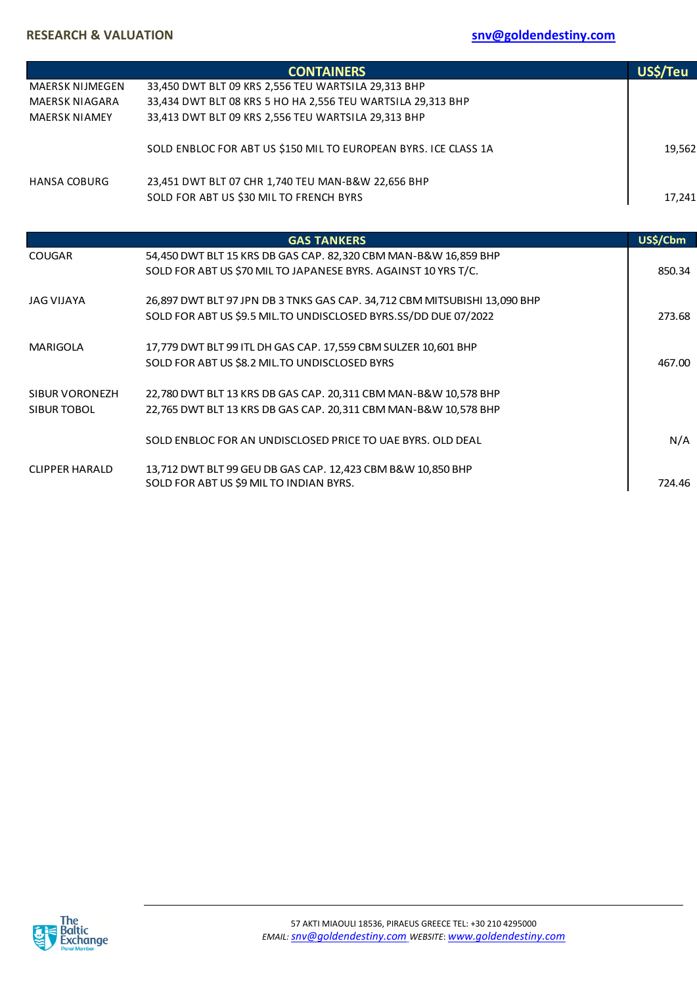|                        | <b>CONTAINERS</b>                                                         | US\$/Teu |
|------------------------|---------------------------------------------------------------------------|----------|
| <b>MAERSK NIJMEGEN</b> | 33,450 DWT BLT 09 KRS 2,556 TEU WARTSILA 29,313 BHP                       |          |
| <b>MAERSK NIAGARA</b>  | 33,434 DWT BLT 08 KRS 5 HO HA 2,556 TEU WARTSILA 29,313 BHP               |          |
| <b>MAERSK NIAMEY</b>   | 33,413 DWT BLT 09 KRS 2,556 TEU WARTSILA 29,313 BHP                       |          |
|                        | SOLD ENBLOC FOR ABT US \$150 MIL TO EUROPEAN BYRS. ICE CLASS 1A           | 19,562   |
| <b>HANSA COBURG</b>    | 23,451 DWT BLT 07 CHR 1,740 TEU MAN-B&W 22,656 BHP                        |          |
|                        | SOLD FOR ABT US \$30 MIL TO FRENCH BYRS                                   | 17,241   |
|                        |                                                                           |          |
|                        | <b>GAS TANKERS</b>                                                        | US\$/Cbm |
| <b>COUGAR</b>          | 54,450 DWT BLT 15 KRS DB GAS CAP. 82,320 CBM MAN-B&W 16,859 BHP           |          |
|                        | SOLD FOR ABT US \$70 MIL TO JAPANESE BYRS. AGAINST 10 YRS T/C.            | 850.34   |
| <b>JAG VIJAYA</b>      | 26,897 DWT BLT 97 JPN DB 3 TNKS GAS CAP. 34,712 CBM MITSUBISHI 13,090 BHP |          |
|                        | SOLD FOR ABT US \$9.5 MIL.TO UNDISCLOSED BYRS.SS/DD DUE 07/2022           | 273.68   |
| <b>MARIGOLA</b>        | 17,779 DWT BLT 99 ITL DH GAS CAP. 17,559 CBM SULZER 10,601 BHP            |          |
|                        | SOLD FOR ABT US \$8.2 MIL. TO UNDISCLOSED BYRS                            | 467.00   |
| SIBUR VORONEZH         | 22,780 DWT BLT 13 KRS DB GAS CAP. 20,311 CBM MAN-B&W 10,578 BHP           |          |
| <b>SIBUR TOBOL</b>     | 22,765 DWT BLT 13 KRS DB GAS CAP. 20,311 CBM MAN-B&W 10,578 BHP           |          |
|                        |                                                                           |          |
|                        | SOLD ENBLOC FOR AN UNDISCLOSED PRICE TO UAE BYRS. OLD DEAL                | N/A      |
| <b>CLIPPER HARALD</b>  | 13,712 DWT BLT 99 GEU DB GAS CAP. 12,423 CBM B&W 10,850 BHP               |          |
|                        | SOLD FOR ABT US \$9 MIL TO INDIAN BYRS.                                   | 724.46   |

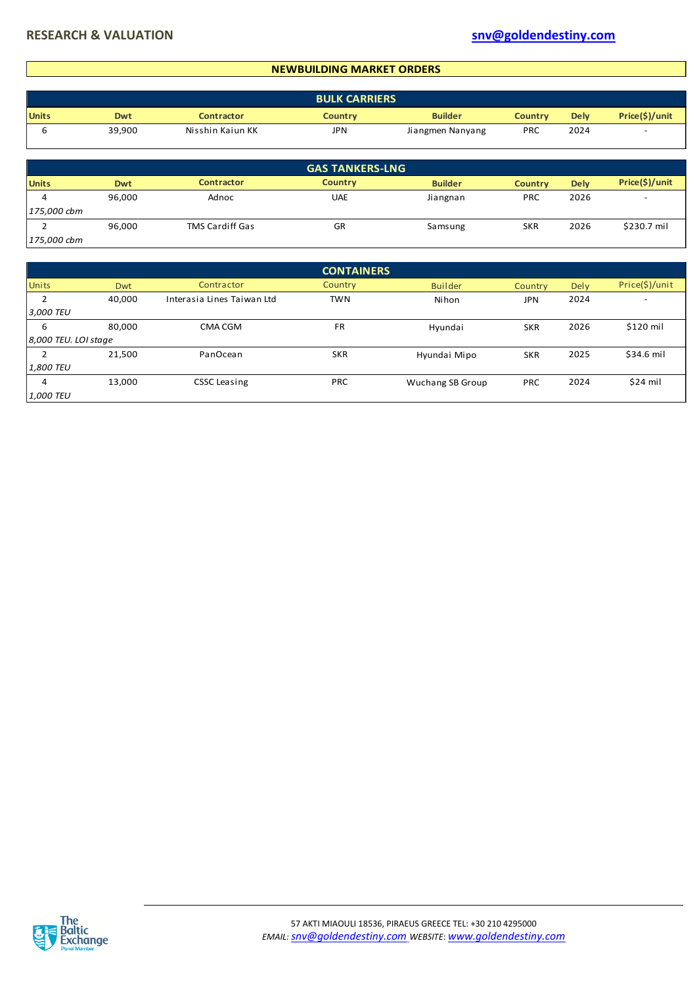#### **NEWBUILDING MARKET ORDERS**

|              | <b>BULK CARRIERS</b> |                   |                |                  |                |             |                |  |  |  |
|--------------|----------------------|-------------------|----------------|------------------|----------------|-------------|----------------|--|--|--|
| <b>Units</b> | Dwt                  | <b>Contractor</b> | <b>Country</b> | <b>Builder</b>   | <b>Country</b> | <b>Dely</b> | Price(\$)/unit |  |  |  |
|              | 39,900               | Nisshin Kaiun KK  | JPN            | Jiangmen Nanyang | PRC            | 2024        |                |  |  |  |

|              |            |                        | <b>GAS TANKERS-LNG</b> |                |                |             |                |
|--------------|------------|------------------------|------------------------|----------------|----------------|-------------|----------------|
| <b>Units</b> | <b>Dwt</b> | <b>Contractor</b>      | <b>Country</b>         | <b>Builder</b> | <b>Country</b> | <b>Dely</b> | Price(\$)/unit |
|              | 96,000     | Adnoc                  | <b>UAE</b>             | Jiangnan       | <b>PRC</b>     | 2026        |                |
| 175,000 cbm  |            |                        |                        |                |                |             |                |
|              | 96,000     | <b>TMS Cardiff Gas</b> | GR                     | Samsung        | <b>SKR</b>     | 2026        | \$230.7 mil    |
| 175,000 cbm  |            |                        |                        |                |                |             |                |

|                      |            |                            | <b>CONTAINERS</b> |                         |            |      |                |
|----------------------|------------|----------------------------|-------------------|-------------------------|------------|------|----------------|
| <b>Units</b>         | <b>Dwt</b> | Contractor                 | <b>Country</b>    | <b>Builder</b>          | Country    | Dely | Price(\$)/unit |
| h                    | 40,000     | Interasia Lines Taiwan Ltd | <b>TWN</b>        | Nihon                   | <b>JPN</b> | 2024 | ۰              |
| 3,000 TEU            |            |                            |                   |                         |            |      |                |
| 6                    | 80,000     | CMA CGM                    | <b>FR</b>         | Hyundai                 | <b>SKR</b> | 2026 | \$120 mil      |
| 8,000 TEU. LOI stage |            |                            |                   |                         |            |      |                |
|                      | 21,500     | PanOcean                   | <b>SKR</b>        | Hyundai Mipo            | <b>SKR</b> | 2025 | \$34.6 mil     |
| 1,800 TEU            |            |                            |                   |                         |            |      |                |
| 4                    | 13,000     | <b>CSSC Leasing</b>        | <b>PRC</b>        | <b>Wuchang SB Group</b> | <b>PRC</b> | 2024 | $$24$ mil      |
| 1,000 TEU            |            |                            |                   |                         |            |      |                |

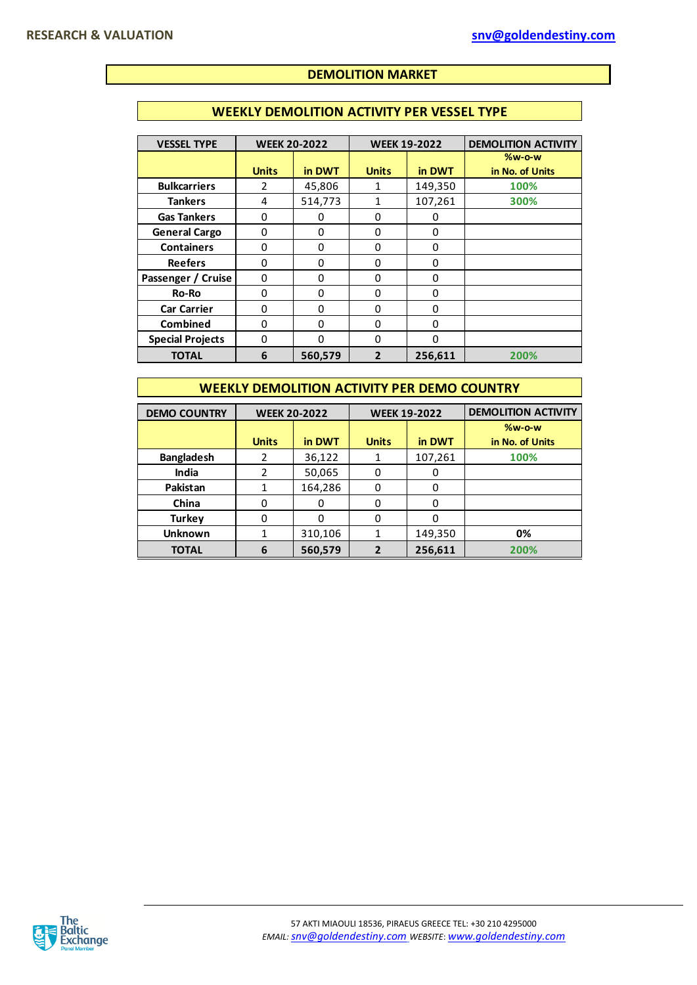## **DEMOLITION MARKET**

## **WEEKLY DEMOLITION ACTIVITY PER VESSEL TYPE**

| <b>VESSEL TYPE</b>      | <b>WEEK 20-2022</b> |          | <b>WEEK 19-2022</b> |          | <b>DEMOLITION ACTIVITY</b>       |
|-------------------------|---------------------|----------|---------------------|----------|----------------------------------|
|                         | <b>Units</b>        | in DWT   | <b>Units</b>        | in DWT   | <b>%w-o-w</b><br>in No. of Units |
| <b>Bulkcarriers</b>     | $\mathcal{P}$       | 45,806   |                     | 149,350  | 100%                             |
| <b>Tankers</b>          | 4                   | 514,773  | 1                   | 107,261  | 300%                             |
| <b>Gas Tankers</b>      | Ω                   | 0        | 0                   | 0        |                                  |
| <b>General Cargo</b>    | 0                   | $\Omega$ | 0                   | $\Omega$ |                                  |
| <b>Containers</b>       | 0                   | 0        | 0                   | $\Omega$ |                                  |
| <b>Reefers</b>          | $\Omega$            | $\Omega$ | 0                   | $\Omega$ |                                  |
| Passenger / Cruise      | 0                   | 0        | 0                   | $\Omega$ |                                  |
| Ro-Ro                   | 0                   | $\Omega$ | 0                   | $\Omega$ |                                  |
| <b>Car Carrier</b>      | 0                   | 0        | 0                   | $\Omega$ |                                  |
| <b>Combined</b>         | 0                   | $\Omega$ | 0                   | $\Omega$ |                                  |
| <b>Special Projects</b> | 0                   | $\Omega$ | O                   | $\Omega$ |                                  |
| <b>TOTAL</b>            | 6                   | 560,579  | 2                   | 256,611  | 200%                             |

### **WEEKLY DEMOLITION ACTIVITY PER DEMO COUNTRY**

| <b>DEMO COUNTRY</b> | <b>WEEK 20-2022</b> |         |              | <b>WEEK 19-2022</b> | <b>DEMOLITION ACTIVITY</b> |
|---------------------|---------------------|---------|--------------|---------------------|----------------------------|
|                     |                     |         |              |                     | $%w-o-w$                   |
|                     | <b>Units</b>        | in DWT  | <b>Units</b> | in DWT              | in No. of Units            |
| <b>Bangladesh</b>   | 2                   | 36,122  |              | 107,261             | 100%                       |
| India               |                     | 50,065  | 0            | O                   |                            |
| Pakistan            |                     | 164,286 | 0            | 0                   |                            |
| China               |                     |         | 0            | 0                   |                            |
| <b>Turkey</b>       |                     |         | ŋ            | 0                   |                            |
| <b>Unknown</b>      |                     | 310,106 | 1            | 149,350             | 0%                         |
| <b>TOTAL</b>        | 6                   | 560,579 | 2            | 256,611             | 200%                       |

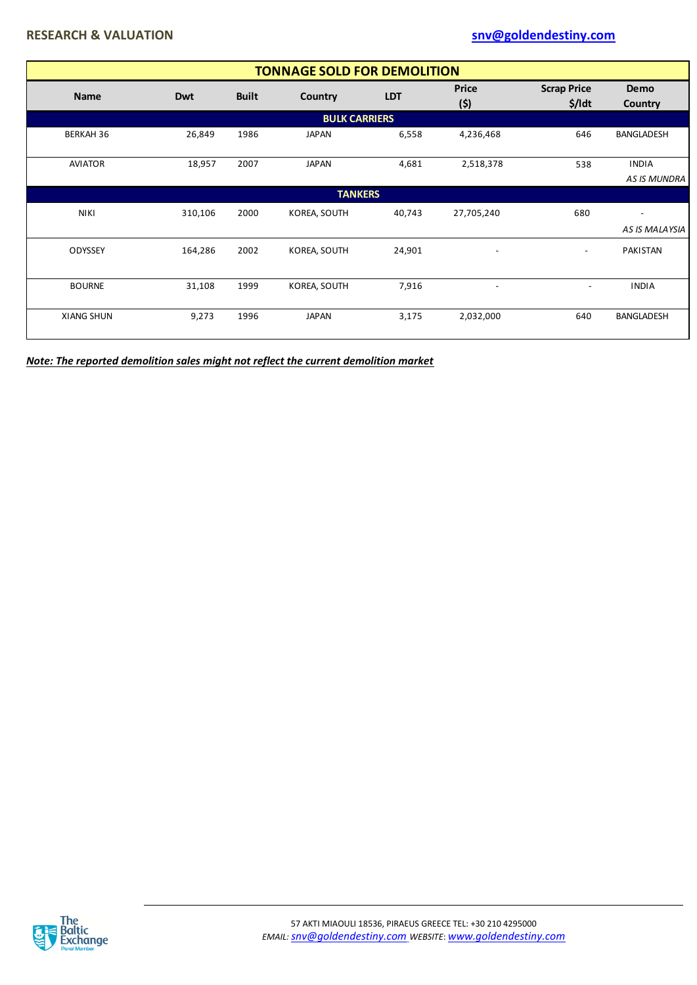|                      | <b>TONNAGE SOLD FOR DEMOLITION</b> |              |                |            |                          |                                |                          |  |  |  |  |
|----------------------|------------------------------------|--------------|----------------|------------|--------------------------|--------------------------------|--------------------------|--|--|--|--|
| <b>Name</b>          | <b>Dwt</b>                         | <b>Built</b> | Country        | <b>LDT</b> | <b>Price</b><br>(5)      | <b>Scrap Price</b><br>$$$ /ldt | Demo<br><b>Country</b>   |  |  |  |  |
| <b>BULK CARRIERS</b> |                                    |              |                |            |                          |                                |                          |  |  |  |  |
| <b>BERKAH 36</b>     | 26,849                             | 1986         | <b>JAPAN</b>   | 6,558      | 4,236,468                | 646                            | BANGLADESH               |  |  |  |  |
| <b>AVIATOR</b>       | 18,957                             | 2007         | <b>JAPAN</b>   | 4,681      | 2,518,378                | 538                            | <b>INDIA</b>             |  |  |  |  |
|                      |                                    |              |                |            |                          |                                | <b>AS IS MUNDRA</b>      |  |  |  |  |
|                      |                                    |              | <b>TANKERS</b> |            |                          |                                |                          |  |  |  |  |
| <b>NIKI</b>          | 310,106                            | 2000         | KOREA, SOUTH   | 40,743     | 27,705,240               | 680                            | $\overline{\phantom{a}}$ |  |  |  |  |
|                      |                                    |              |                |            |                          |                                | AS IS MALAYSIA           |  |  |  |  |
| ODYSSEY              | 164,286                            | 2002         | KOREA, SOUTH   | 24,901     | $\overline{\phantom{a}}$ | $\overline{\phantom{a}}$       | PAKISTAN                 |  |  |  |  |
| <b>BOURNE</b>        | 31,108                             | 1999         | KOREA, SOUTH   | 7,916      | $\overline{\phantom{a}}$ | $\overline{\phantom{a}}$       | <b>INDIA</b>             |  |  |  |  |
| <b>XIANG SHUN</b>    | 9,273                              | 1996         | <b>JAPAN</b>   | 3,175      | 2,032,000                | 640                            | <b>BANGLADESH</b>        |  |  |  |  |

*Note: The reported demolition sales might not reflect the current demolition market*